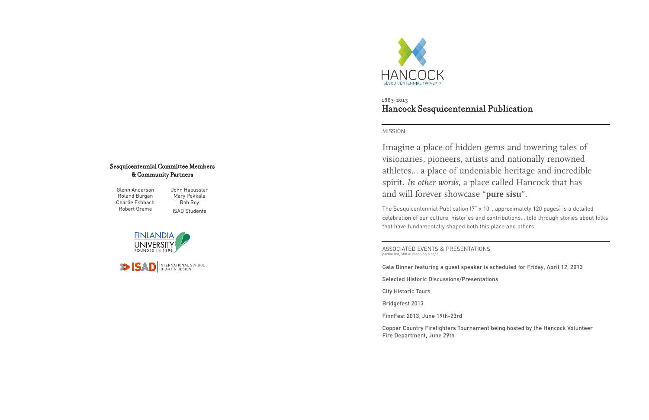## MISSION

Imagine a place of hidden gems and towering tales of visionaries, pioneers, artists and nationally renowned athletes… a place of undeniable heritage and incredible spirit. *In other words*, a place called Hancock that has and will forever showcase "**pure sisu**".

The Sesquicentennial Publication (7" x 10", approximately 120 pages) is a detailed celebration of our culture, histories and contributions… told through stories about folks that have fundamentally shaped both this place and others.



## Hancock Sesquicentennial Publication 1863-2013

ASSOCIATED EVENTS & PRESENTATIONS partial list, still in planning stages

Gala Dinner featuring a guest speaker is scheduled for Friday, April 12, 2013

Selected Historic Discussions/Presentations

City Historic Tours

Bridgefest 2013

FinnFest 2013, June 19th-23rd

Copper Country Firefighters Tournament being hosted by the Hancock Volunteer Fire Department, June 29th

Glenn Anderson Roland Burgan Charlie Eshbach Robert Grame

John Haeussler Mary Pekkala Rob Roy ISAD Students





## Sesquicentennial Committee Members & Community Partners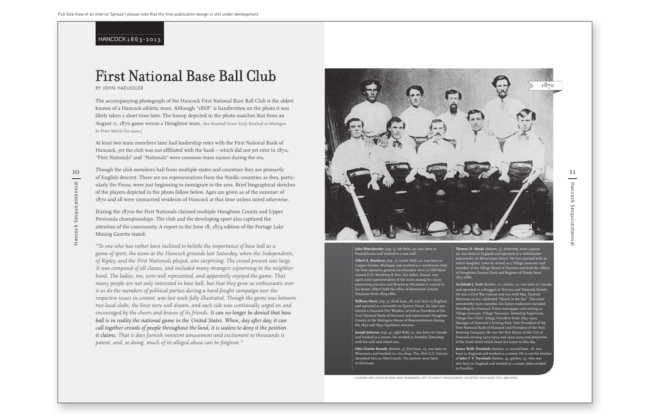Hancock Sesquicentennial

Hancock

Sesquicentennial

BY JOHN HAEUSSLER

The accompanying photograph of the Hancock First National Base Ball Club is the oldest known of a Hancock athletic team. Although "1868" is handwritten on the photo it was likely taken a short time later. The lineup depicted in the photo matches that from an August 11, 1870 game versus a Houghton team. [See Baseball Fever: Early Baseball in Michigan by Peter Morris for more.]

At least two team members later had leadership roles with the First National Bank of Hancock, yet the club was not affiliated with the bank – which did not yet exist in 1870. "First Nationals" and "Nationals" were common team names during the era.

of English descent. There are no representatives from the Nordic countries as they, particularly the Finns, were just beginning to immigrate to the area. Brief biographical sketches of the players depicted in the photo follow below. Ages are given as of the summer of 1870 and all were unmarried residents of Hancock at that time unless noted otherwise.

During the 1870s the First Nationals claimed multiple Houghton County and Upper Peninsula championships. The club and the developing sport also captured the attention of the community. A report in the June 18, 1874 edition of the Portage Lake Mining Gazette stated:

Hancock Sesquicentennial Hancock Sesquicentennial

-



*"To one who has rather been inclined to belittle the importance of base ball as a game of sport, the scene at the Hancock grounds last Saturday, when the Independents, of Ripley, and the First Nationals played, was surprising. The crowd present was large. It was composed of all classes, and included many strangers sojourning in the neighborhood. The ladies, too, were well represented, and apparently enjoyed the game. That many people are not only interested in base ball, but that they grow as enthusiastic over it as do the members of political parties during a hard-fought campaign over the respective issues in contest, was last week fully illustrated. Though the game was between two local clubs, the lines were well drawn, and each side was continually urged on and encouraged by the cheers and bravos of its friends. It can no longer be denied that base ball is in reality the national game in the United States. When, day after day, it can call together crowds of people throughout the land, it is useless to deny it the position it claims. That it does furnish innocent amusement and excitement to thousands is patent, and, so doing, much of its alleged abuse can be forgiven."*

**Thomas D. Meads** *(bottom, 3)*, shortstop, team captain 30, was born in England and operated as a watchmake and jeweler on Reservation Street. He was married with an infant daughter. Later he served as a Village Assessor and member of the Village Board of Trustees and held the offices of Houghton County Clerk and Register of Deeds from

Archibald J. Scott (bottom, 2), catcher, 22, was born in Canad and operated as a druggist at Tezcuco and Hancock Streets. He was a Civil War veteran and was with Maj. General Sherman on his celebrated "March to the Sea". The most newsworthy team member, his future endeavors included  $\vdots$  founding the Hancock Times newspaper and serving as Village Assessor, Village Treasurer, Township Supervisor, Village Fire Chief, Village President from 1897-1903, Manager of Hancock's Driving Park, Vice-President of the First National Bank of Hancock and President of the Park Brewing Company. He was the first Mayor of the City of Hancock serving 1903-1904 and 1905-1909 and proprietor of the Scott Hotel which bears his name to this day.

# First National Base Ball Club

#### **John Bittenbender** *(top, 1),* left field, 20, was born in Pennsylvania and worked in a saw mill.

**Albert A. Brockway** *(top, 2),* center field, 22, was born in Copper Harbor, Michigan and worked as a warehouse clerk. He later opened a general merchandise store at Cliff Mine named D.D. Brockway & Son. His father, Daniel, was agent and superintendent of the mine among his many pioneering pursuits and Brockway Mountain is named in his honor. Albert held the office of Keweenaw County Treasurer from 1879-1882.

**William Harry** *(top, 3)*, third base, 28, was born in England and operated as a tinsmith on Quincy Street. He later was elected a Hancock Fire Warden, served as President of the First National Bank of Hancock and represented Houghton County in the Michigan House of Representatives during the 1891 and 1892 legislative sessions.

**Joseph Johnson** *(top, 4)*, right field, 23, was born in Canada and worked as a miner. He resided in Franklin Township with his wife and infant son.

**Otto Charles Kunath** *(bottom, 5)*, first base, 19, was born in Wisconsin and worked in a tin shop. The 1870 U.S. Census identified him as Otto Cunith. His parents were born in Germany.

1877-1886.

**James Walls Trembath** *(bottom, 1)*, second base, 18, was born in England and worked as a miner. He is not the brothe of **John T. V. Trembath** *(bottom, 4)*, pitcher, 23, who was also born in England and worked as a miner. John resided

in Franklin.

HANCOCK 1863-2013

> PLAYERS ARE LISTED BY ROW AND NUMBERED LEFT TO RIGHT | PHOTOGRAPH COURTESY MICHIGAN TECH ARCHIVES